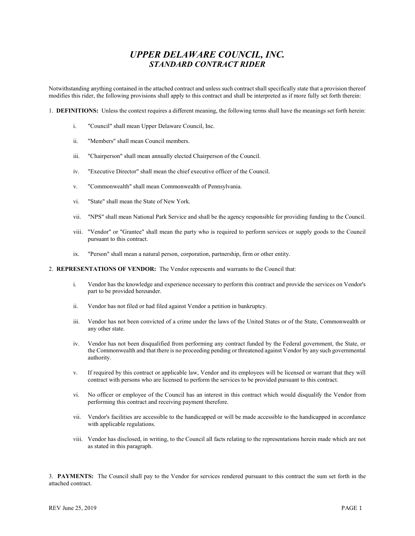## UPPER DELAWARE COUNCIL, INC. STANDARD CONTRACT RIDER

Notwithstanding anything contained in the attached contract and unless such contract shall specifically state that a provision thereof modifies this rider, the following provisions shall apply to this contract and shall be interpreted as if more fully set forth therein:

1. DEFINITIONS: Unless the context requires a different meaning, the following terms shall have the meanings set forth herein:

- i. "Council" shall mean Upper Delaware Council, Inc.
- ii. "Members" shall mean Council members.
- iii. "Chairperson" shall mean annually elected Chairperson of the Council.
- iv. "Executive Director" shall mean the chief executive officer of the Council.
- v. "Commonwealth" shall mean Commonwealth of Pennsylvania.
- vi. "State" shall mean the State of New York.
- vii. "NPS" shall mean National Park Service and shall be the agency responsible for providing funding to the Council.
- viii. "Vendor" or "Grantee" shall mean the party who is required to perform services or supply goods to the Council pursuant to this contract.
- ix. "Person" shall mean a natural person, corporation, partnership, firm or other entity.
- 2. REPRESENTATIONS OF VENDOR: The Vendor represents and warrants to the Council that:
	- i. Vendor has the knowledge and experience necessary to perform this contract and provide the services on Vendor's part to be provided hereunder.
	- ii. Vendor has not filed or had filed against Vendor a petition in bankruptcy.
	- iii. Vendor has not been convicted of a crime under the laws of the United States or of the State, Commonwealth or any other state.
	- iv. Vendor has not been disqualified from performing any contract funded by the Federal government, the State, or the Commonwealth and that there is no proceeding pending or threatened against Vendor by any such governmental authority.
	- v. If required by this contract or applicable law, Vendor and its employees will be licensed or warrant that they will contract with persons who are licensed to perform the services to be provided pursuant to this contract.
	- vi. No officer or employee of the Council has an interest in this contract which would disqualify the Vendor from performing this contract and receiving payment therefore.
	- vii. Vendor's facilities are accessible to the handicapped or will be made accessible to the handicapped in accordance with applicable regulations.
	- viii. Vendor has disclosed, in writing, to the Council all facts relating to the representations herein made which are not as stated in this paragraph.

3. PAYMENTS: The Council shall pay to the Vendor for services rendered pursuant to this contract the sum set forth in the attached contract.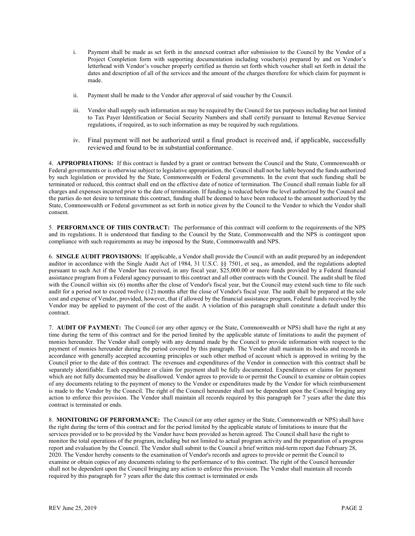- i. Payment shall be made as set forth in the annexed contract after submission to the Council by the Vendor of a Project Completion form with supporting documentation including voucher(s) prepared by and on Vendor's letterhead with Vendor's voucher properly certified as therein set forth which voucher shall set forth in detail the dates and description of all of the services and the amount of the charges therefore for which claim for payment is made.
- ii. Payment shall be made to the Vendor after approval of said voucher by the Council.
- iii. Vendor shall supply such information as may be required by the Council for tax purposes including but not limited to Tax Payer Identification or Social Security Numbers and shall certify pursuant to Internal Revenue Service regulations, if required, as to such information as may be required by such regulations.
- iv. Final payment will not be authorized until a final product is received and, if applicable, successfully reviewed and found to be in substantial conformance.

4. APPROPRIATIONS: If this contract is funded by a grant or contract between the Council and the State, Commonwealth or Federal governments or is otherwise subject to legislative appropriation, the Council shall not be liable beyond the funds authorized by such legislation or provided by the State, Commonwealth or Federal governments. In the event that such funding shall be terminated or reduced, this contract shall end on the effective date of notice of termination. The Council shall remain liable for all charges and expenses incurred prior to the date of termination. If funding is reduced below the level authorized by the Council and the parties do not desire to terminate this contract, funding shall be deemed to have been reduced to the amount authorized by the State, Commonwealth or Federal government as set forth in notice given by the Council to the Vendor to which the Vendor shall consent.

5. PERFORMANCE OF THIS CONTRACT: The performance of this contract will conform to the requirements of the NPS and its regulations. It is understood that funding to the Council by the State, Commonwealth and the NPS is contingent upon compliance with such requirements as may be imposed by the State, Commonwealth and NPS.

6. SINGLE AUDIT PROVISIONS: If applicable, a Vendor shall provide the Council with an audit prepared by an independent auditor in accordance with the Single Audit Act of 1984, 31 U.S.C. §§ 7501, et seq., as amended, and the regulations adopted pursuant to such Act if the Vendor has received, in any fiscal year, \$25,000.00 or more funds provided by a Federal financial assistance program from a Federal agency pursuant to this contract and all other contracts with the Council. The audit shall be filed with the Council within six (6) months after the close of Vendor's fiscal year, but the Council may extend such time to file such audit for a period not to exceed twelve (12) months after the close of Vendor's fiscal year. The audit shall be prepared at the sole cost and expense of Vendor, provided, however, that if allowed by the financial assistance program, Federal funds received by the Vendor may be applied to payment of the cost of the audit. A violation of this paragraph shall constitute a default under this contract.

7. AUDIT OF PAYMENT: The Council (or any other agency or the State, Commonwealth or NPS) shall have the right at any time during the term of this contract and for the period limited by the applicable statute of limitations to audit the payment of monies hereunder. The Vendor shall comply with any demand made by the Council to provide information with respect to the payment of monies hereunder during the period covered by this paragraph. The Vendor shall maintain its books and records in accordance with generally accepted accounting principles or such other method of account which is approved in writing by the Council prior to the date of this contract. The revenues and expenditures of the Vendor in connection with this contract shall be separately identifiable. Each expenditure or claim for payment shall be fully documented. Expenditures or claims for payment which are not fully documented may be disallowed. Vendor agrees to provide to or permit the Council to examine or obtain copies of any documents relating to the payment of money to the Vendor or expenditures made by the Vendor for which reimbursement is made to the Vendor by the Council. The right of the Council hereunder shall not be dependent upon the Council bringing any action to enforce this provision. The Vendor shall maintain all records required by this paragraph for 7 years after the date this contract is terminated or ends.

8. MONITORING OF PERFORMANCE: The Council (or any other agency or the State, Commonwealth or NPS) shall have the right during the term of this contract and for the period limited by the applicable statute of limitations to insure that the services provided or to be provided by the Vendor have been provided as herein agreed. The Council shall have the right to monitor the total operations of the program, including but not limited to actual program activity and the preparation of a progress report and evaluation by the Council. The Vendor shall submit to the Council a brief written mid-term report due February 28, 2020. The Vendor hereby consents to the examination of Vendor's records and agrees to provide or permit the Council to examine or obtain copies of any documents relating to the performance of to this contract. The right of the Council hereunder shall not be dependent upon the Council bringing any action to enforce this provision. The Vendor shall maintain all records required by this paragraph for 7 years after the date this contract is terminated or ends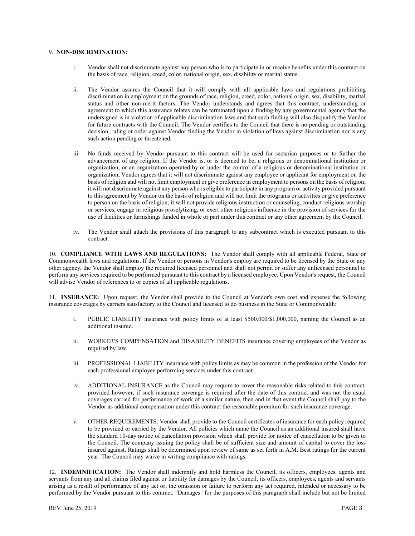## 9. NON-DISCRIMINATION:

- i. Vendor shall not discriminate against any person who is to participate in or receive benefits under this contract on the basis of race, religion, creed, color, national origin, sex, disability or marital status.
- ii. The Vendor assures the Council that it will comply with all applicable laws and regulations prohibiting discrimination in employment on the grounds of race, religion, creed, color, national origin, sex, disability, marital status and other non-merit factors. The Vendor understands and agrees that this contract, understanding or agreement to which this assurance relates can be terminated upon a finding by any governmental agency that the undersigned is in violation of applicable discrimination laws and that such finding will also disqualify the Vendor for future contracts with the Council. The Vendor certifies to the Council that there is no pending or outstanding decision, ruling or order against Vendor finding the Vendor in violation of laws against discrimination nor is any such action pending or threatened.
- iii. No funds received by Vendor pursuant to this contract will be used for sectarian purposes or to further the advancement of any religion. If the Vendor is, or is deemed to be, a religious or denominational institution or organization, or an organization operated by or under the control of a religious or denominational institution or organization, Vendor agrees that it will not discriminate against any employee or applicant for employment on the basis of religion and will not limit employment or give preference in employment to persons on the basis of religion; it will not discriminate against any person who is eligible to participate in any program or activity provided pursuant to this agreement by Vendor on the basis of religion and will not limit the programs or activities or give preference to person on the basis of religion; it will not provide religious instruction or counseling, conduct religious worship or services, engage in religious proselytizing, or exert other religious influence in the provision of services for the use of facilities or furnishings funded in whole or part under this contract or any other agreement by the Council.
- iv. The Vendor shall attach the provisions of this paragraph to any subcontract which is executed pursuant to this contract.

10. COMPLIANCE WITH LAWS AND REGULATIONS: The Vendor shall comply with all applicable Federal, State or Commonwealth laws and regulations. If the Vendor or persons in Vendor's employ are required to be licensed by the State or any other agency, the Vendor shall employ the required licensed personnel and shall not permit or suffer any unlicensed personnel to perform any services required to be performed pursuant to this contract by a licensed employee. Upon Vendor's request, the Council will advise Vendor of references to or copies of all applicable regulations.

11. INSURANCE: Upon request, the Vendor shall provide to the Council at Vendor's own cost and expense the following insurance coverages by carriers satisfactory to the Council and licensed to do business in the State or Commonwealth:

- i. PUBLIC LIABILITY insurance with policy limits of at least \$500,000/\$1,000,000, naming the Council as an additional insured.
- ii. WORKER'S COMPENSATION and DISABILITY BENEFITS insurance covering employees of the Vendor as required by law.
- iii. PROFESSIONAL LIABILITY insurance with policy limits as may be common in the profession of the Vendor for each professional employee performing services under this contract.
- iv. ADDITIONAL INSURANCE as the Council may require to cover the reasonable risks related to this contract, provided however, if such insurance coverage is required after the date of this contract and was not the usual coverages carried for performance of work of a similar nature, then and in that event the Council shall pay to the Vendor as additional compensation under this contract the reasonable premium for such insurance coverage.
- v. OTHER REQUIREMENTS: Vendor shall provide to the Council certificates of insurance for each policy required to be provided or carried by the Vendor. All policies which name the Council as an additional insured shall have the standard 10-day notice of cancellation provision which shall provide for notice of cancellation to be given to the Council. The company issuing the policy shall be of sufficient size and amount of capital to cover the loss insured against. Ratings shall be determined upon review of same as set forth in A.M. Best ratings for the current year. The Council may waive in writing compliance with ratings.

12. INDEMNIFICATION: The Vendor shall indemnify and hold harmless the Council, its officers, employees, agents and servants from any and all claims filed against or liability for damages by the Council, its officers, employees, agents and servants arising as a result of performance of any act or, the omission or failure to perform any act required, intended or necessary to be performed by the Vendor pursuant to this contract. "Damages" for the purposes of this paragraph shall include but not be limited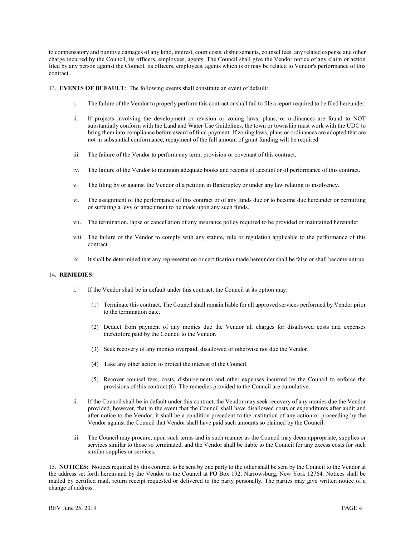to compensatory and punitive damages of any kind, interest, court costs, disbursements, counsel fees, any related expense and other charge incurred by the Council, its officers, employees, agents. The Council shall give the Vendor notice of any claim or action filed by any person against the Council, its officers, employees, agents which is or may be related to Vendor's performance of this contract.

13. EVENTS OF DEFAULT: The following events shall constitute an event of default:

- i. The failure of the Vendor to properly perform this contract or shall fail to file a report required to be filed hereunder.
- ii. If projects involving the development or revision or zoning laws, plans, or ordinances are found to NOT substantially conform with the Land and Water Use Guidelines, the town or township must work with the UDC to bring them into compliance before award of final payment. If zoning laws, plans or ordinances are adopted that are not in substantial conformance, repayment of the full amount of grant funding will be required.
- iii. The failure of the Vendor to perform any term, provision or covenant of this contract.
- iv. The failure of the Vendor to maintain adequate books and records of account or of performance of this contract.
- v. The filing by or against the Vendor of a petition in Bankruptcy or under any law relating to insolvency.
- vi. The assignment of the performance of this contract or of any funds due or to become due hereunder or permitting or suffering a levy or attachment to be made upon any such funds.
- vii. The termination, lapse or cancellation of any insurance policy required to be provided or maintained hereunder.
- viii. The failure of the Vendor to comply with any statute, rule or regulation applicable to the performance of this contract.
- ix. It shall be determined that any representation or certification made hereunder shall be false or shall become untrue.

## 14. REMEDIES:

- i. If the Vendor shall be in default under this contract, the Council at its option may:
	- (1) Terminate this contract. The Council shall remain liable for all approved services performed by Vendor prior to the termination date.
	- (2) Deduct from payment of any monies due the Vendor all charges for disallowed costs and expenses theretofore paid by the Council to the Vendor.
	- (3) Seek recovery of any monies overpaid, disallowed or otherwise not due the Vendor.
	- (4) Take any other action to protect the interest of the Council.
	- (5) Recover counsel fees, costs, disbursements and other expenses incurred by the Council to enforce the provisions of this contract.(6) The remedies provided to the Council are cumulative.
- ii. If the Council shall be in default under this contract, the Vendor may seek recovery of any monies due the Vendor provided, however, that in the event that the Council shall have disallowed costs or expenditures after audit and after notice to the Vendor, it shall be a condition precedent to the institution of any action or proceeding by the Vendor against the Council that Vendor shall have paid such amounts so claimed by the Council.
- iii. The Council may procure, upon such terms and in such manner as the Council may deem appropriate, supplies or services similar to those so terminated, and the Vendor shall be liable to the Council for any excess costs for such similar supplies or services.

15. NOTICES: Notices required by this contract to be sent by one party to the other shall be sent by the Council to the Vendor at the address set forth herein and by the Vendor to the Council at PO Box 192, Narrowsburg, New York 12764. Notices shall be mailed by certified mail, return receipt requested or delivered to the party personally. The parties may give written notice of a change of address.